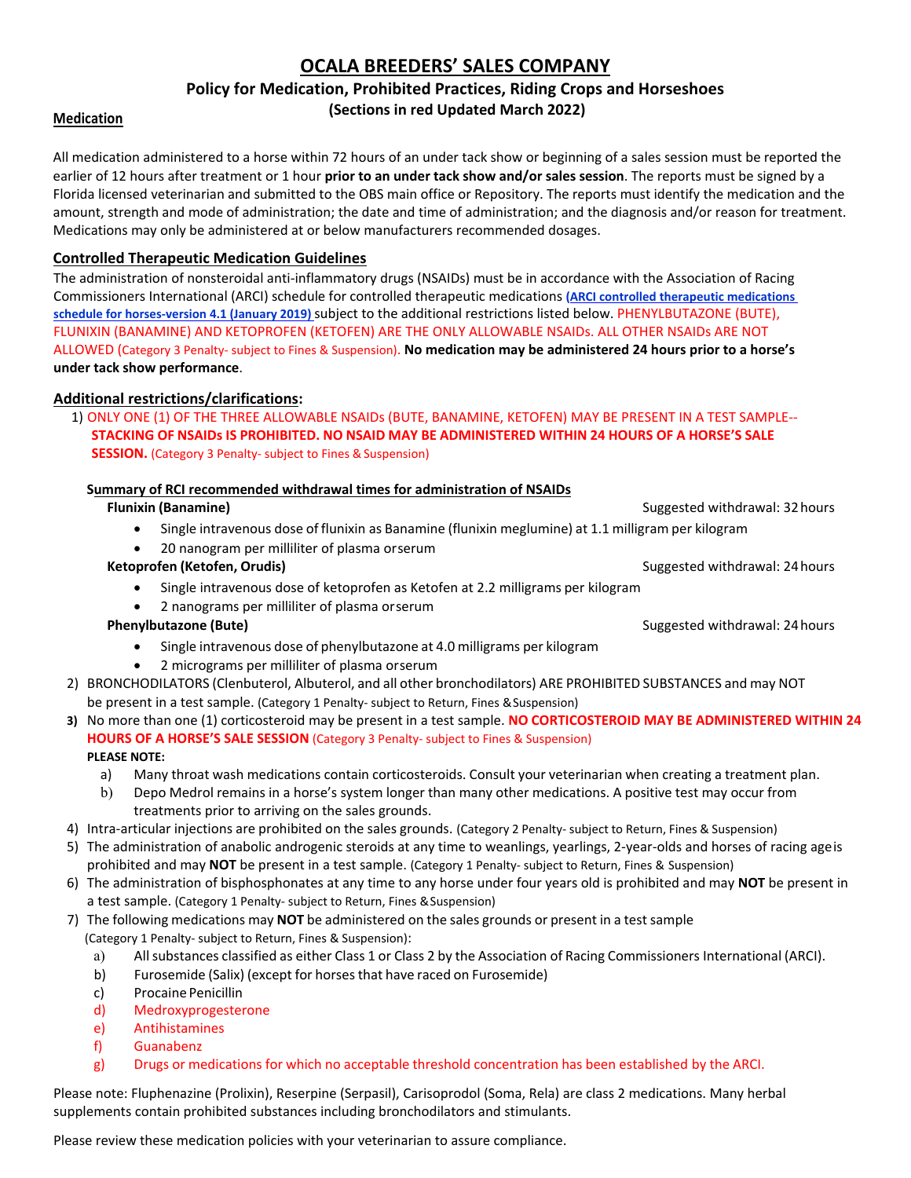# **OCALA BREEDERS' SALES COMPANY**

# **Policy for Medication, Prohibited Practices, Riding Crops and Horseshoes (Sections in red Updated March 2022)**

## **Medication**

All medication administered to a horse within 72 hours of an under tack show or beginning of a sales session must be reported the earlier of 12 hours after treatment or 1 hour **prior to an under tack show and/or sales session**. The reports must be signed by a Florida licensed veterinarian and submitted to the OBS main office or Repository. The reports must identify the medication and the amount, strength and mode of administration; the date and time of administration; and the diagnosis and/or reason for treatment. Medications may only be administered at or below manufacturers recommended dosages.

## **Controlled Therapeutic Medication Guidelines**

The administration of nonsteroidal anti‐inflammatory drugs (NSAIDs) must be in accordance with the Association of Racing Commissioners International (ARCI) schedule for controlled therapeutic medications **(ARCI controlled therapeutic medications schedule for horses‐version 4.1 (January 2019)** subject to the additional restrictions listed below. PHENYLBUTAZONE (BUTE), FLUNIXIN (BANAMINE) AND KETOPROFEN (KETOFEN) ARE THE ONLY ALLOWABLE NSAIDs. ALL OTHER NSAIDs ARE NOT ALLOWED (Category 3 Penalty‐ subject to Fines & Suspension). **No medication may be administered 24 hours prior to a horse's under tack show performance**.

# **Additional restrictions/clarifications:**

1) ONLY ONE (1) OF THE THREE ALLOWABLE NSAIDs (BUTE, BANAMINE, KETOFEN) MAY BE PRESENT IN A TEST SAMPLE‐‐ **STACKING OF NSAIDs IS PROHIBITED. NO NSAID MAY BE ADMINISTERED WITHIN 24 HOURS OF A HORSE'S SALE SESSION.** (Category 3 Penalty- subject to Fines & Suspension)

## **Summary of RCI recommended withdrawal times for administration of NSAIDs**

## **Flunixin (Banamine)** Suggested withdrawal: 32hours

- Single intravenous dose of flunixin as Banamine (flunixin meglumine) at 1.1 milligram per kilogram
- 20 nanogram per milliliter of plasma orserum

## **Ketoprofen (Ketofen, Orudis)** Suggested withdrawal: 24hours

- Single intravenous dose of ketoprofen as Ketofen at 2.2 milligrams per kilogram
- 2 nanograms per milliliter of plasma orserum

- Single intravenous dose of phenylbutazone at 4.0 milligrams per kilogram
- 2 micrograms per milliliter of plasma orserum
- 2) BRONCHODILATORS (Clenbuterol, Albuterol, and all other bronchodilators) ARE PROHIBITED SUBSTANCES and may NOT be present in a test sample. (Category 1 Penalty‐ subject to Return, Fines &Suspension)
- **3)** No more than one (1) corticosteroid may be present in a test sample. **NO CORTICOSTEROID MAY BE ADMINISTERED WITHIN 24 HOURS OF A HORSE'S SALE SESSION** (Category 3 Penalty‐ subject to Fines & Suspension)

#### **PLEASE NOTE:**

- a) Many throat wash medications contain corticosteroids. Consult your veterinarian when creating a treatment plan.
- b) Depo Medrol remains in a horse's system longer than many other medications. A positive test may occur from treatments prior to arriving on the sales grounds.
- 4) Intra-articular injections are prohibited on the sales grounds. (Category 2 Penalty- subject to Return, Fines & Suspension)
- 5) The administration of anabolic androgenic steroids at any time to weanlings, yearlings, 2-year-olds and horses of racing ageis prohibited and may **NOT** be present in a test sample. (Category 1 Penalty‐ subject to Return, Fines & Suspension)
- 6) The administration of bisphosphonates at any time to any horse under four years old is prohibited and may **NOT** be present in a test sample. (Category 1 Penalty- subject to Return, Fines & Suspension)
- 7) The following medications may **NOT** be administered on the sales grounds or present in a test sample (Category 1 Penalty‐ subject to Return, Fines & Suspension):
	- a) Allsubstances classified as either Class 1 or Class 2 by the Association of Racing Commissioners International (ARCI).
	- b) Furosemide (Salix) (except for horsesthat have raced on Furosemide)
	- c) Procaine Penicillin
	- d) Medroxyprogesterone
	- e) Antihistamines
	- f) Guanabenz
	- g) Drugs or medications for which no acceptable threshold concentration has been established by the ARCI.

Please note: Fluphenazine (Prolixin), Reserpine (Serpasil), Carisoprodol (Soma, Rela) are class 2 medications. Many herbal supplements contain prohibited substances including bronchodilators and stimulants.

Please review these medication policies with your veterinarian to assure compliance.

**Phenylbutazone (Bute) Phenylbutazone (Bute)** Suggested withdrawal: 24 hours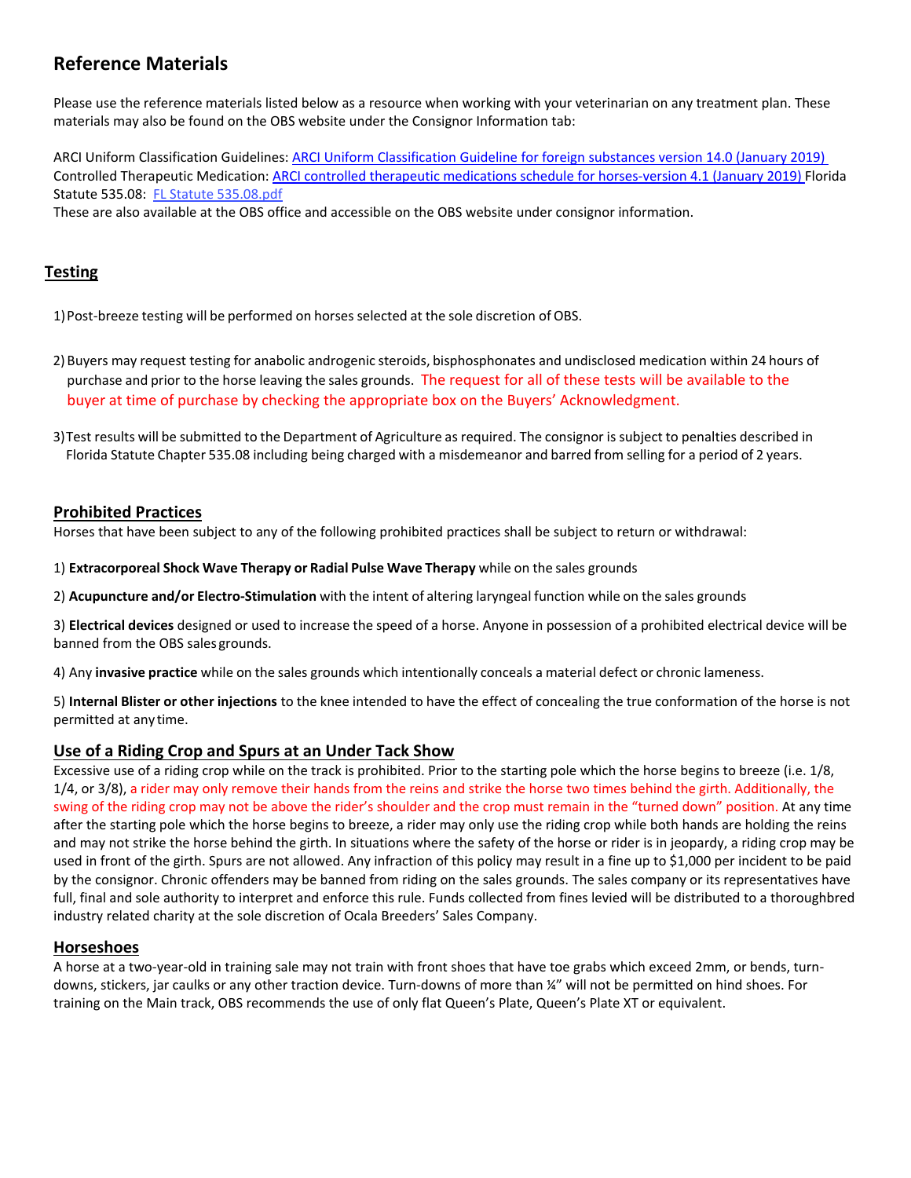# **Reference Materials**

Please use the reference materials listed below as a resource when working with your veterinarian on any treatment plan. These materials may also be found on the OBS website under the Consignor Information tab:

ARCI Uniform Classification Guidelines: ARCI Uniform Classification Guideline for foreign substances version 14.0 (January 2019) Controlled Therapeutic Medication: ARCI controlled therapeutic medications schedule for horses‐version 4.1 (January 2019) Florida Statute 535.08: FL Statute 535.08.pdf

These are also available at the OBS office and accessible on the OBS website under consignor information.

# **Testing**

1) Post-breeze testing will be performed on horses selected at the sole discretion of OBS.

2) Buyers may request testing for anabolic androgenic steroids, bisphosphonates and undisclosed medication within 24 hours of purchase and prior to the horse leaving the sales grounds. The request for all of these tests will be available to the buyer at time of purchase by checking the appropriate box on the Buyers' Acknowledgment.

3)Test results will be submitted to the Department of Agriculture as required. The consignor is subject to penalties described in Florida Statute Chapter 535.08 including being charged with a misdemeanor and barred from selling for a period of 2 years.

## **Prohibited Practices**

Horses that have been subject to any of the following prohibited practices shall be subject to return or withdrawal:

1) **Extracorporeal Shock Wave Therapy or Radial Pulse Wave Therapy** while on the sales grounds

2) **Acupuncture and/or Electro‐Stimulation** with the intent of altering laryngeal function while on the sales grounds

3) **Electrical devices** designed or used to increase the speed of a horse. Anyone in possession of a prohibited electrical device will be banned from the OBS sales grounds.

4) Any **invasive practice** while on the sales grounds which intentionally conceals a material defect or chronic lameness.

5) **Internal Blister or other injections** to the knee intended to have the effect of concealing the true conformation of the horse is not permitted at any time.

## **Use of a Riding Crop and Spurs at an Under Tack Show**

Excessive use of a riding crop while on the track is prohibited. Prior to the starting pole which the horse begins to breeze (i.e. 1/8, 1/4, or 3/8), a rider may only remove their hands from the reins and strike the horse two times behind the girth. Additionally, the swing of the riding crop may not be above the rider's shoulder and the crop must remain in the "turned down" position. At any time after the starting pole which the horse begins to breeze, a rider may only use the riding crop while both hands are holding the reins and may not strike the horse behind the girth. In situations where the safety of the horse or rider is in jeopardy, a riding crop may be used in front of the girth. Spurs are not allowed. Any infraction of this policy may result in a fine up to \$1,000 per incident to be paid by the consignor. Chronic offenders may be banned from riding on the sales grounds. The sales company or its representatives have full, final and sole authority to interpret and enforce this rule. Funds collected from fines levied will be distributed to a thoroughbred industry related charity at the sole discretion of Ocala Breeders' Sales Company.

## **Horseshoes**

A horse at a two‐year‐old in training sale may not train with front shoes that have toe grabs which exceed 2mm, or bends, turn‐ downs, stickers, jar caulks or any other traction device. Turn‐downs of more than ¼" will not be permitted on hind shoes. For training on the Main track, OBS recommends the use of only flat Queen's Plate, Queen's Plate XT or equivalent.